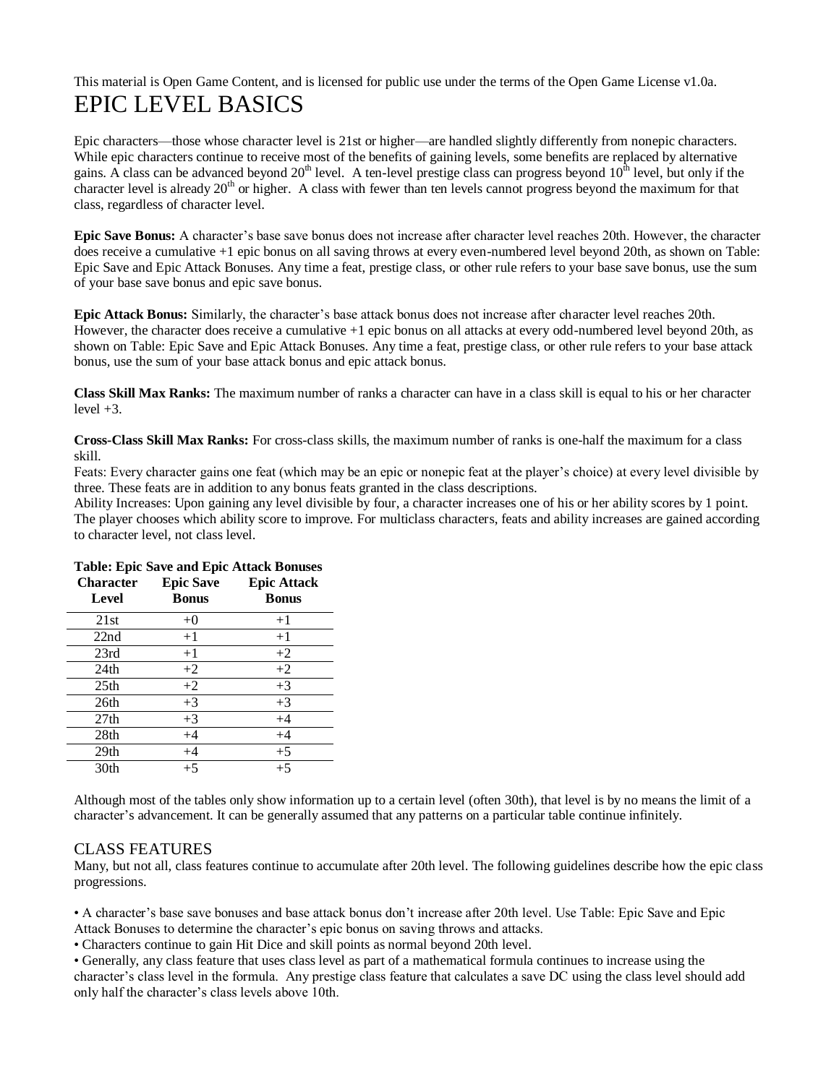## This material is Open Game Content, and is licensed for public use under the terms of the Open Game License v1.0a. EPIC LEVEL BASICS

Epic characters—those whose character level is 21st or higher—are handled slightly differently from nonepic characters. While epic characters continue to receive most of the benefits of gaining levels, some benefits are replaced by alternative gains. A class can be advanced beyond  $20<sup>th</sup>$  level. A ten-level prestige class can progress beyond  $10<sup>th</sup>$  level, but only if the character level is already 20<sup>th</sup> or higher. A class with fewer than ten levels cannot progress beyond the maximum for that class, regardless of character level.

**Epic Save Bonus:** A character's base save bonus does not increase after character level reaches 20th. However, the character does receive a cumulative +1 epic bonus on all saving throws at every even-numbered level beyond 20th, as shown on Table: Epic Save and Epic Attack Bonuses. Any time a feat, prestige class, or other rule refers to your base save bonus, use the sum of your base save bonus and epic save bonus.

**Epic Attack Bonus:** Similarly, the character's base attack bonus does not increase after character level reaches 20th. However, the character does receive a cumulative +1 epic bonus on all attacks at every odd-numbered level beyond 20th, as shown on Table: Epic Save and Epic Attack Bonuses. Any time a feat, prestige class, or other rule refers to your base attack bonus, use the sum of your base attack bonus and epic attack bonus.

**Class Skill Max Ranks:** The maximum number of ranks a character can have in a class skill is equal to his or her character  $level +3.$ 

**Cross-Class Skill Max Ranks:** For cross-class skills, the maximum number of ranks is one-half the maximum for a class skill.

Feats: Every character gains one feat (which may be an epic or nonepic feat at the player's choice) at every level divisible by three. These feats are in addition to any bonus feats granted in the class descriptions.

Ability Increases: Upon gaining any level divisible by four, a character increases one of his or her ability scores by 1 point. The player chooses which ability score to improve. For multiclass characters, feats and ability increases are gained according to character level, not class level.

| <b>Character</b><br>Level | <b>Epic Save</b><br>Bonus | <b>Epic Attack</b><br><b>Bonus</b> |
|---------------------------|---------------------------|------------------------------------|
| 21st                      | $+0$                      | $+1$                               |
| 22nd                      | $+1$                      | $+1$                               |
| 23rd                      | $+1$                      | $+2$                               |
| 24th                      | $+2$                      | $+2$                               |
| 25 <sub>th</sub>          | $+2$                      | $+3$                               |
| 26th                      | $+3$                      | $+3$                               |
| 27 <sub>th</sub>          | $+3$                      | $+4$                               |
| 28th                      | $+4$                      | $+4$                               |
| 29 <sub>th</sub>          | $+4$                      | $+5$                               |
| 30th                      | $+5$                      | $+5$                               |

## **Table: Epic Save and Epic Attack Bonuses**

Although most of the tables only show information up to a certain level (often 30th), that level is by no means the limit of a character's advancement. It can be generally assumed that any patterns on a particular table continue infinitely.

## CLASS FEATURES

Many, but not all, class features continue to accumulate after 20th level. The following guidelines describe how the epic class progressions.

• A character's base save bonuses and base attack bonus don't increase after 20th level. Use Table: Epic Save and Epic Attack Bonuses to determine the character's epic bonus on saving throws and attacks.

• Characters continue to gain Hit Dice and skill points as normal beyond 20th level.

• Generally, any class feature that uses class level as part of a mathematical formula continues to increase using the character's class level in the formula. Any prestige class feature that calculates a save DC using the class level should add only half the character's class levels above 10th.